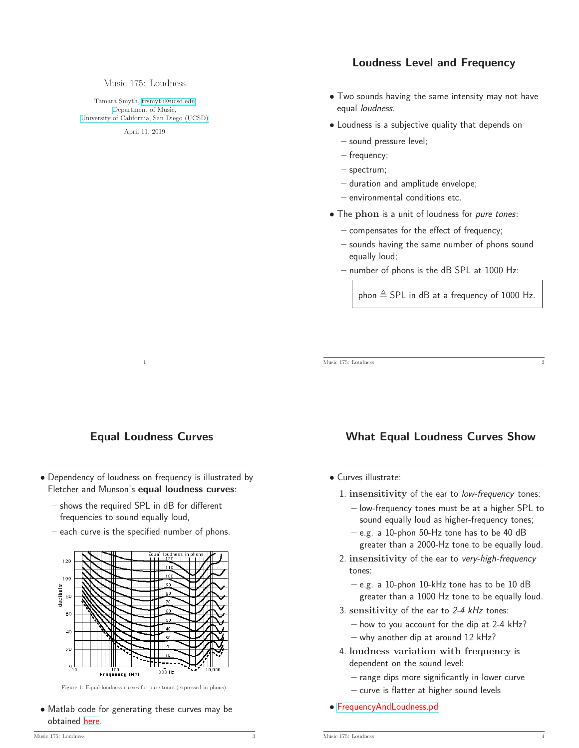# Loudness Level and Frequency

Music 175: Loudness

Tamara Smyth, [trsmyth@ucsd.edu](mailto:trsmyth@ucsd.edu) [Department of Music,](http://musicweb.ucsd.edu) [University of California, San Diego \(UCSD\)](http://www.ucsd.edu)

April 11, 2019

#### • Two sounds having the same intensity may not have equal loudness.

- Loudness is a subjective quality that depends on
	- sound pressure level;
	- frequency;
	- spectrum;
	- duration and amplitude envelope;
	- environmental conditions etc.
- The phon is a unit of loudness for *pure tones*:
	- compensates for the effect of frequency;
	- sounds having the same number of phons sound equally loud;
	- number of phons is the dB SPL at 1000 Hz:

phon  $\triangleq$  SPL in dB at a frequency of 1000 Hz.

Music 175: Loudness 2

# Equal Loudness Curves

1

- Dependency of loudness on frequency is illustrated by Fletcher and Munson's equal loudness curves:
	- shows the required SPL in dB for different frequencies to sound equally loud,
	- each curve is the specified number of phons.



Figure 1: Equal-loudness curves for pure tones (expressed in phons).

• Matlab code for generating these curves may be obtained [here.](http://www.mathworks.com/matlabcentral/fileexchange/7028-iso-226-equal-loudness-level-contour-signal)

# What Equal Loudness Curves Show

- Curves illustrate:
	- 1. insensitivity of the ear to low-frequency tones:
		- low-frequency tones must be at a higher SPL to sound equally loud as higher-frequency tones;
		- e.g. a 10-phon 50-Hz tone has to be 40 dB greater than a 2000-Hz tone to be equally loud.
	- 2. insensitivity of the ear to very-high-frequency tones:
		- e.g. a 10-phon 10-kHz tone has to be 10 dB greater than a 1000 Hz tone to be equally loud.
	- 3. sensitivity of the ear to 2-4 kHz tones:
		- how to you account for the dip at 2-4 kHz?
		- why another dip at around 12 kHz?
	- 4. loudness variation with frequency is dependent on the sound level:
		- range dips more significantly in lower curve
		- curve is flatter at higher sound levels
- [FrequencyAndLoudness.pd](http://musicweb.ucsd.edu/~trsmyth/pdpatches175/FrequencyAndLoudness.pd)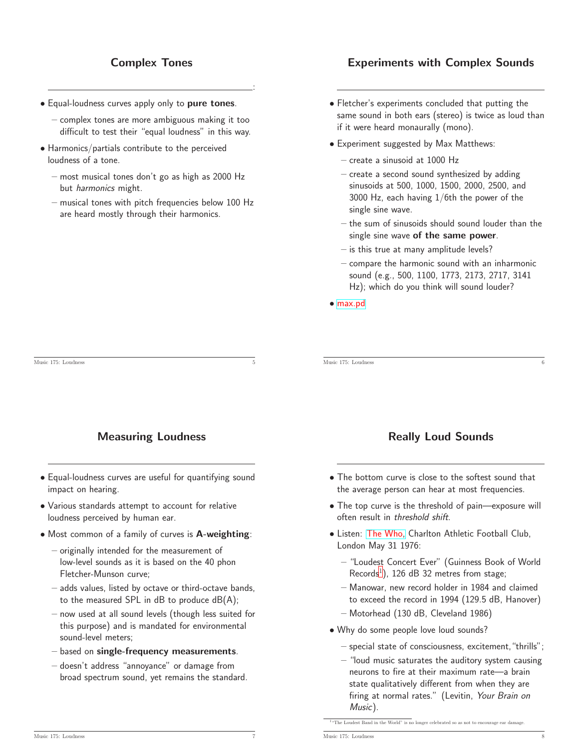# Complex Tones

:

- Equal-loudness curves apply only to pure tones.
	- complex tones are more ambiguous making it too difficult to test their "equal loudness" in this way.
- Harmonics/partials contribute to the perceived loudness of a tone.
	- most musical tones don't go as high as 2000 Hz but harmonics might.
	- musical tones with pitch frequencies below 100 Hz are heard mostly through their harmonics.

# Experiments with Complex Sounds

- Fletcher's experiments concluded that putting the same sound in both ears (stereo) is twice as loud than if it were heard monaurally (mono).
- Experiment suggested by Max Matthews:
	- create a sinusoid at 1000 Hz
	- create a second sound synthesized by adding sinusoids at 500, 1000, 1500, 2000, 2500, and 3000 Hz, each having 1/6th the power of the single sine wave.
	- the sum of sinusoids should sound louder than the single sine wave of the same power.
	- is this true at many amplitude levels?
	- compare the harmonic sound with an inharmonic sound (e.g., 500, 1100, 1773, 2173, 2717, 3141 Hz); which do you think will sound louder?
- [max.pd](http://musicweb.ucsd.edu/~trsmyth/pdpatches175/max.pd)

### Measuring Loudness

- Equal-loudness curves are useful for quantifying sound impact on hearing.
- Various standards attempt to account for relative loudness perceived by human ear.
- Most common of a family of curves is A-weighting:
	- originally intended for the measurement of low-level sounds as it is based on the 40 phon Fletcher-Munson curve;
	- adds values, listed by octave or third-octave bands, to the measured SPL in  $dB$  to produce  $dB(A)$ ;
	- now used at all sound levels (though less suited for this purpose) and is mandated for environmental sound-level meters;
	- based on single-frequency measurements.
	- doesn't address "annoyance" or damage from broad spectrum sound, yet remains the standard.

#### Music 175: Loudness 6

Music 175: Loudness

### Really Loud Sounds

- The bottom curve is close to the softest sound that the average person can hear at most frequencies.
- The top curve is the threshold of pain—exposure will often result in threshold shift.
- Listen: [The Who,](http://www.youtube.com/watch?v=04l5ybd-Drs&list=PL373B8F0CBE802FC0) Charlton Athletic Football Club, London May 31 1976:
	- "Loudest Concert Ever" (Guinness Book of World Records<sup>[1](#page-1-0)</sup>), 126 dB 32 metres from stage;
	- Manowar, new record holder in 1984 and claimed to exceed the record in 1994 (129.5 dB, Hanover)
	- Motorhead (130 dB, Cleveland 1986)
- Why do some people love loud sounds?
	- special state of consciousness, excitement, "thrills";
	- "loud music saturates the auditory system causing neurons to fire at their maximum rate—a brain state qualitatively different from when they are firing at normal rates." (Levitin, Your Brain on Music).

 $1$ <sup>u</sup>The Loudest Band in the World" is no longer celebrated so as not to encourage.

<span id="page-1-0"></span>Music 175: Loudness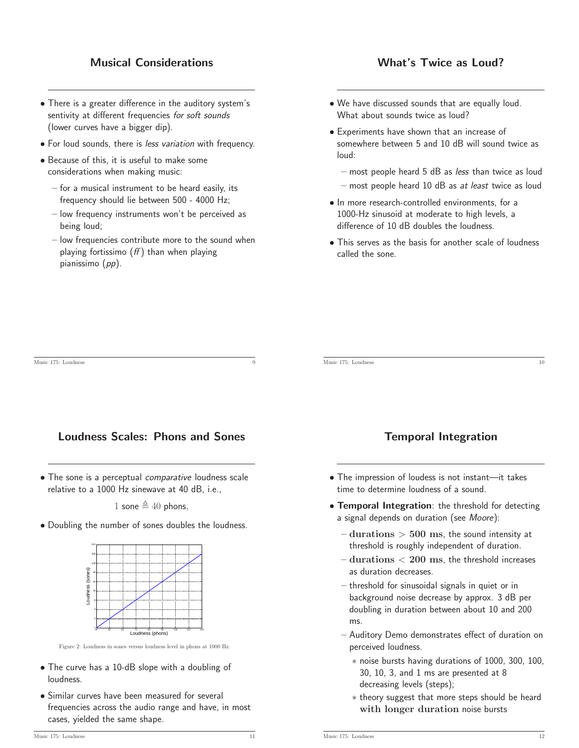# Musical Considerations

# What's Twice as Loud?

- There is a greater difference in the auditory system's sentivity at different frequencies for soft sounds (lower curves have a bigger dip).
- For loud sounds, there is less variation with frequency.
- Because of this, it is useful to make some considerations when making music:
	- for a musical instrument to be heard easily, its frequency should lie between 500 - 4000 Hz;
	- low frequency instruments won't be perceived as being loud;
	- low frequencies contribute more to the sound when playing fortissimo  $(ff)$  than when playing pianissimo (pp).
- We have discussed sounds that are equally loud. What about sounds twice as loud?
- Experiments have shown that an increase of somewhere between 5 and 10 dB will sound twice as loud:
	- $-$  most people heard 5 dB as less than twice as loud
	- most people heard 10 dB as at least twice as loud
- In more research-controlled environments, for a 1000-Hz sinusoid at moderate to high levels, a difference of 10 dB doubles the loudness.
- This serves as the basis for another scale of loudness called the sone.

 $\overline{\text{Music 175: Londnose}}$  10

Music 175: Loudness 9

Loudness Scales: Phons and Sones

• The sone is a perceptual *comparative* loudness scale relative to a 1000 Hz sinewave at 40 dB, i.e.,

1 sone  $\triangleq$  40 phons.

• Doubling the number of sones doubles the loudness.



Figure 2: Loudness in sones versus loudness level in phons at 1000 Hz.

- The curve has a 10-dB slope with a doubling of loudness.
- Similar curves have been measured for several frequencies across the audio range and have, in most cases, yielded the same shape.

# Temporal Integration

- The impression of loudess is not instant—it takes time to determine loudness of a sound.
- Temporal Integration: the threshold for detecting a signal depends on duration (see Moore):
	- $-$  durations  $> 500$  ms, the sound intensity at threshold is roughly independent of duration.
	- $-$  durations  $< 200$  ms, the threshold increases as duration decreases.
	- threshold for sinusoidal signals in quiet or in background noise decrease by approx. 3 dB per doubling in duration between about 10 and 200 ms.
	- Auditory Demo demonstrates effect of duration on perceived loudness.
		- ∗ noise bursts having durations of 1000, 300, 100, 30, 10, 3, and 1 ms are presented at 8 decreasing levels (steps);
		- ∗ theory suggest that more steps should be heard with longer duration noise bursts